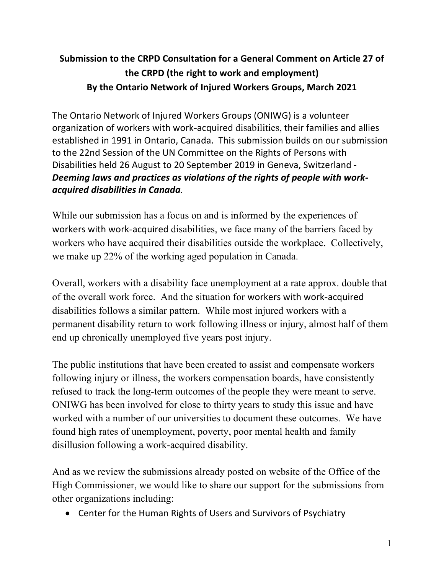# **Submission to the CRPD Consultation for a General Comment on Article 27 of the CRPD (the right to work and employment) By the Ontario Network of Injured Workers Groups, March 2021**

The Ontario Network of Injured Workers Groups (ONIWG) is a volunteer organization of workers with work-acquired disabilities, their families and allies established in 1991 in Ontario, Canada. This submission builds on our submission to the 22nd Session of the UN Committee on the Rights of Persons with Disabilities held 26 August to 20 September 2019 in Geneva, Switzerland - *Deeming laws and practices as violations of the rights of people with workacquired disabilities in Canada.*

While our submission has a focus on and is informed by the experiences of workers with work-acquired disabilities, we face many of the barriers faced by workers who have acquired their disabilities outside the workplace. Collectively, we make up 22% of the working aged population in Canada.

Overall, workers with a disability face unemployment at a rate approx. double that of the overall work force. And the situation for workers with work-acquired disabilities follows a similar pattern. While most injured workers with a permanent disability return to work following illness or injury, almost half of them end up chronically unemployed five years post injury.

The public institutions that have been created to assist and compensate workers following injury or illness, the workers compensation boards, have consistently refused to track the long-term outcomes of the people they were meant to serve. ONIWG has been involved for close to thirty years to study this issue and have worked with a number of our universities to document these outcomes. We have found high rates of unemployment, poverty, poor mental health and family disillusion following a work-acquired disability.

And as we review the submissions already posted on website of the Office of the High Commissioner, we would like to share our support for the submissions from other organizations including:

• Center for the Human Rights of Users and Survivors of Psychiatry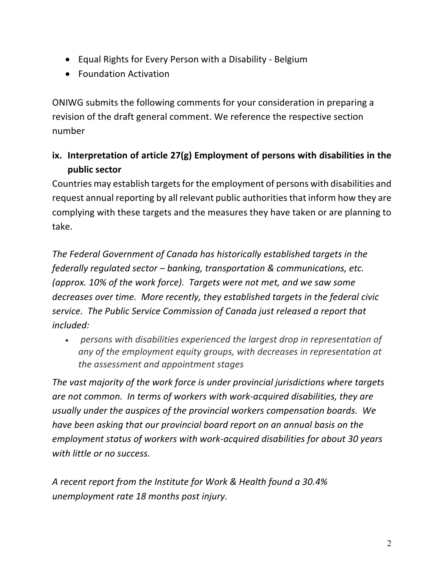- Equal Rights for Every Person with a Disability Belgium
- Foundation Activation

ONIWG submits the following comments for your consideration in preparing a revision of the draft general comment. We reference the respective section number

**ix. Interpretation of article 27(g) Employment of persons with disabilities in the public sector** 

Countries may establish targets for the employment of persons with disabilities and request annual reporting by all relevant public authorities that inform how they are complying with these targets and the measures they have taken or are planning to take.

*The Federal Government of Canada has historically established targets in the federally regulated sector – banking, transportation & communications, etc. (approx. 10% of the work force). Targets were not met, and we saw some decreases over time. More recently, they established targets in the federal civic service. The Public Service Commission of Canada just released a report that included:*

• *persons with disabilities experienced the largest drop in representation of any of the employment equity groups, with decreases in representation at the assessment and appointment stages*

*The vast majority of the work force is under provincial jurisdictions where targets are not common. In terms of workers with work-acquired disabilities, they are usually under the auspices of the provincial workers compensation boards. We have been asking that our provincial board report on an annual basis on the employment status of workers with work-acquired disabilities for about 30 years with little or no success.*

*A recent report from the Institute for Work & Health found a 30.4% unemployment rate 18 months post injury.*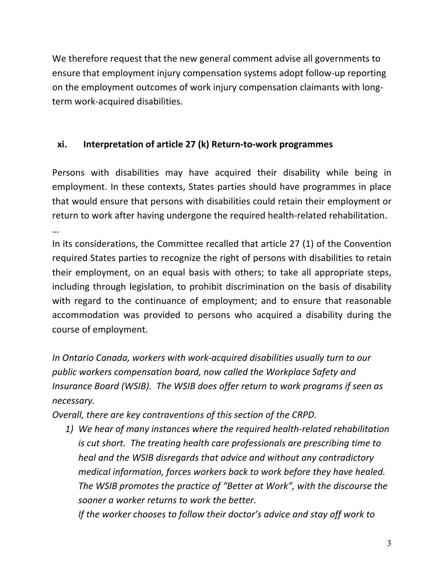We therefore request that the new general comment advise all governments to ensure that employment injury compensation systems adopt follow-up reporting on the employment outcomes of work injury compensation claimants with longterm work-acquired disabilities.

## **xi. Interpretation of article 27 (k) Return-to-work programmes**

Persons with disabilities may have acquired their disability while being in employment. In these contexts, States parties should have programmes in place that would ensure that persons with disabilities could retain their employment or return to work after having undergone the required health-related rehabilitation.

…

In its considerations, the Committee recalled that article 27 (1) of the Convention required States parties to recognize the right of persons with disabilities to retain their employment, on an equal basis with others; to take all appropriate steps, including through legislation, to prohibit discrimination on the basis of disability with regard to the continuance of employment; and to ensure that reasonable accommodation was provided to persons who acquired a disability during the course of employment.

*In Ontario Canada, workers with work-acquired disabilities usually turn to our public workers compensation board, now called the Workplace Safety and Insurance Board (WSIB). The WSIB does offer return to work programs if seen as necessary.*

*Overall, there are key contraventions of this section of the CRPD.* 

*1) We hear of many instances where the required health-related rehabilitation is cut short. The treating health care professionals are prescribing time to heal and the WSIB disregards that advice and without any contradictory medical information, forces workers back to work before they have healed. The WSIB promotes the practice of "Better at Work", with the discourse the sooner a worker returns to work the better.* 

*If the worker chooses to follow their doctor's advice and stay off work to*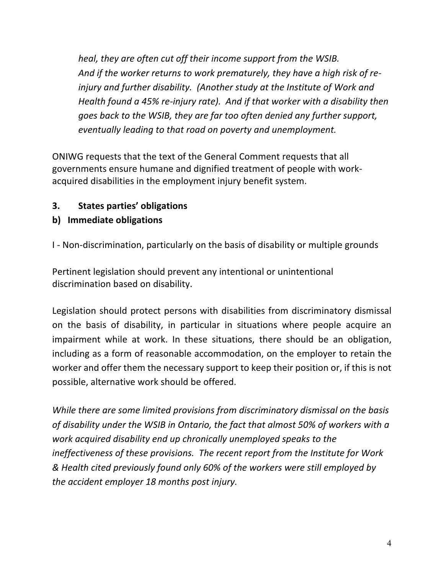*heal, they are often cut off their income support from the WSIB. And if the worker returns to work prematurely, they have a high risk of reinjury and further disability. (Another study at the Institute of Work and Health found a 45% re-injury rate). And if that worker with a disability then goes back to the WSIB, they are far too often denied any further support, eventually leading to that road on poverty and unemployment.*

ONIWG requests that the text of the General Comment requests that all governments ensure humane and dignified treatment of people with workacquired disabilities in the employment injury benefit system.

**3. States parties' obligations**

## **b) Immediate obligations**

I - Non-discrimination, particularly on the basis of disability or multiple grounds

Pertinent legislation should prevent any intentional or unintentional discrimination based on disability.

Legislation should protect persons with disabilities from discriminatory dismissal on the basis of disability, in particular in situations where people acquire an impairment while at work. In these situations, there should be an obligation, including as a form of reasonable accommodation, on the employer to retain the worker and offer them the necessary support to keep their position or, if this is not possible, alternative work should be offered.

*While there are some limited provisions from discriminatory dismissal on the basis of disability under the WSIB in Ontario, the fact that almost 50% of workers with a work acquired disability end up chronically unemployed speaks to the ineffectiveness of these provisions. The recent report from the Institute for Work & Health cited previously found only 60% of the workers were still employed by the accident employer 18 months post injury.*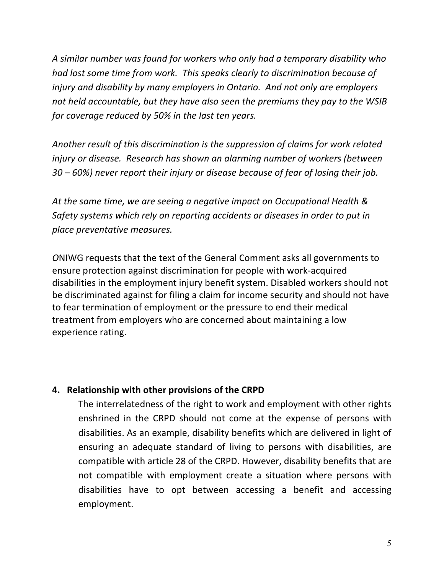*A similar number was found for workers who only had a temporary disability who had lost some time from work. This speaks clearly to discrimination because of injury and disability by many employers in Ontario. And not only are employers not held accountable, but they have also seen the premiums they pay to the WSIB for coverage reduced by 50% in the last ten years.* 

*Another result of this discrimination is the suppression of claims for work related injury or disease. Research has shown an alarming number of workers (between 30 – 60%) never report their injury or disease because of fear of losing their job.*

*At the same time, we are seeing a negative impact on Occupational Health & Safety systems which rely on reporting accidents or diseases in order to put in place preventative measures.*

*O*NIWG requests that the text of the General Comment asks all governments to ensure protection against discrimination for people with work-acquired disabilities in the employment injury benefit system. Disabled workers should not be discriminated against for filing a claim for income security and should not have to fear termination of employment or the pressure to end their medical treatment from employers who are concerned about maintaining a low experience rating.

### **4. Relationship with other provisions of the CRPD**

The interrelatedness of the right to work and employment with other rights enshrined in the CRPD should not come at the expense of persons with disabilities. As an example, disability benefits which are delivered in light of ensuring an adequate standard of living to persons with disabilities, are compatible with article 28 of the CRPD. However, disability benefits that are not compatible with employment create a situation where persons with disabilities have to opt between accessing a benefit and accessing employment.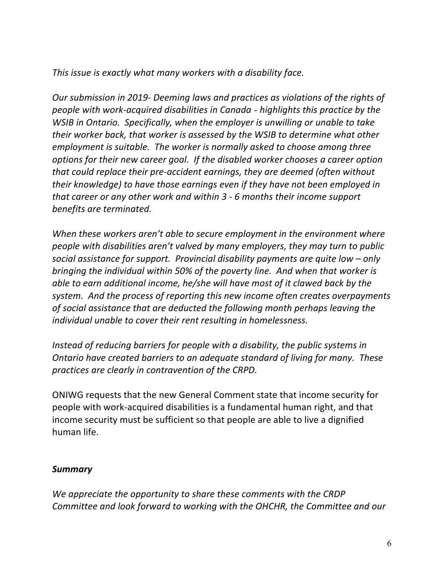*This issue is exactly what many workers with a disability face.* 

*Our submission in 2019- Deeming laws and practices as violations of the rights of people with work-acquired disabilities in Canada - highlights this practice by the WSIB in Ontario. Specifically, when the employer is unwilling or unable to take their worker back, that worker is assessed by the WSIB to determine what other employment is suitable. The worker is normally asked to choose among three options for their new career goal. If the disabled worker chooses a career option that could replace their pre-accident earnings, they are deemed (often without their knowledge) to have those earnings even if they have not been employed in that career or any other work and within 3 - 6 months their income support benefits are terminated.*

*When these workers aren't able to secure employment in the environment where people with disabilities aren't valved by many employers, they may turn to public social assistance for support. Provincial disability payments are quite low – only bringing the individual within 50% of the poverty line. And when that worker is able to earn additional income, he/she will have most of it clawed back by the system. And the process of reporting this new income often creates overpayments of social assistance that are deducted the following month perhaps leaving the individual unable to cover their rent resulting in homelessness.*

*Instead of reducing barriers for people with a disability, the public systems in Ontario have created barriers to an adequate standard of living for many. These practices are clearly in contravention of the CRPD.*

ONIWG requests that the new General Comment state that income security for people with work-acquired disabilities is a fundamental human right, and that income security must be sufficient so that people are able to live a dignified human life.

## *Summary*

*We appreciate the opportunity to share these comments with the CRDP Committee and look forward to working with the OHCHR, the Committee and our*